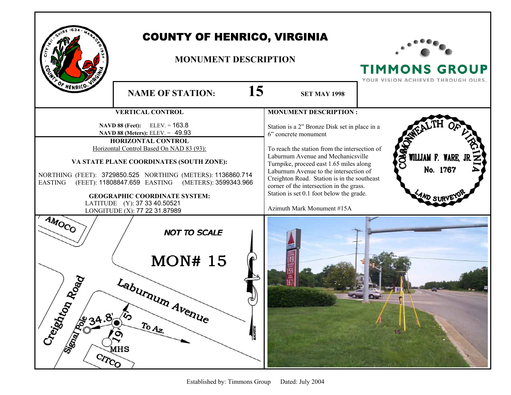

LATITUDE (Y): 37 33 40.50521



## Azimuth Mark Monument #15A

**MONUMENT DESCRIPTION** 

**MONUMENT DESCRIPTION :** 

6" concrete monument

Station is a 2" Bronze Disk set in place in a

To reach the station from the intersection of Laburnum Avenue and Mechanicsville Turnpike, proceed east 1.65 miles along Laburnum Avenue to the intersection of Creighton Road. Station is in the southeast corner of the intersection in the grass. Station is set 0.1 foot below the grade.



TIMMONS GROUP YOUR VISION ACHIEVED THROUGH OURS.

No. 1767

Established by: Timmons Group Dated: July 2004